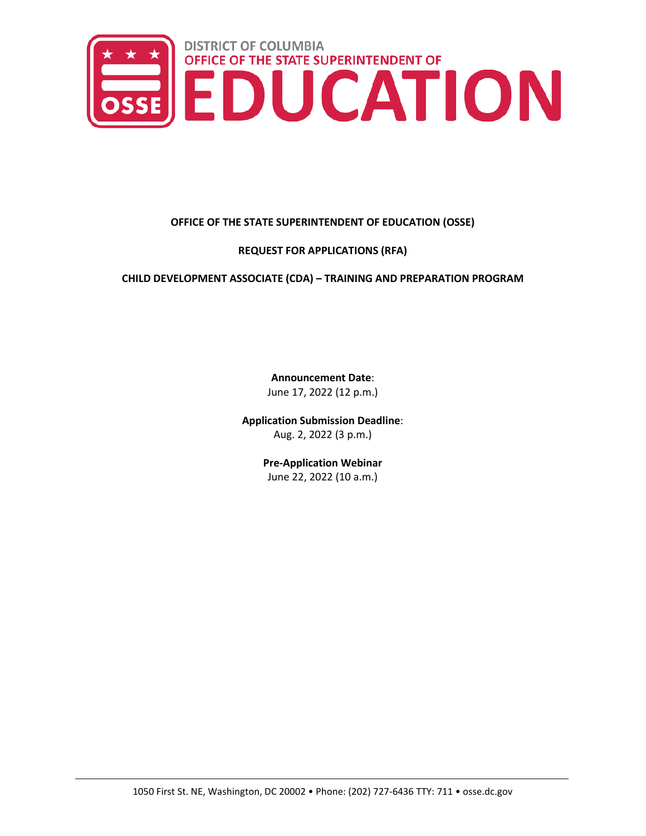

# **OFFICE OF THE STATE SUPERINTENDENT OF EDUCATION (OSSE)**

### **REQUEST FOR APPLICATIONS (RFA)**

### **CHILD DEVELOPMENT ASSOCIATE (CDA) – TRAINING AND PREPARATION PROGRAM**

**Announcement Date**:

June 17, 2022 (12 p.m.)

**Application Submission Deadline**: Aug. 2, 2022 (3 p.m.)

> **Pre-Application Webinar** June 22, 2022 (10 a.m.)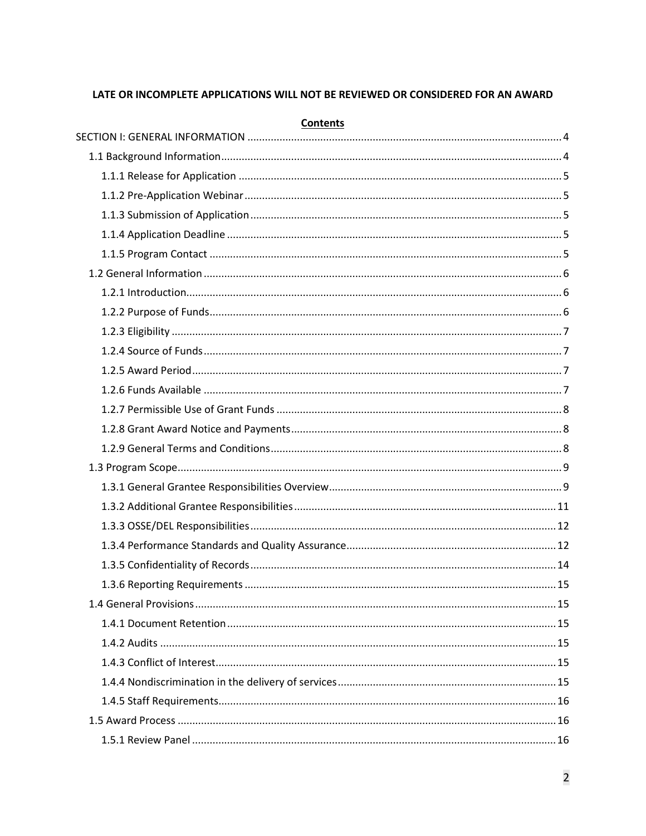# LATE OR INCOMPLETE APPLICATIONS WILL NOT BE REVIEWED OR CONSIDERED FOR AN AWARD

| <b>Contents</b> |
|-----------------|
|                 |
|                 |
|                 |
|                 |
|                 |
|                 |
|                 |
|                 |
|                 |
|                 |
|                 |
|                 |
|                 |
|                 |
|                 |
|                 |
|                 |
|                 |
|                 |
|                 |
|                 |
|                 |
|                 |
| . 15            |
|                 |
|                 |
|                 |
|                 |
|                 |
|                 |
|                 |
|                 |

# $\overline{2}$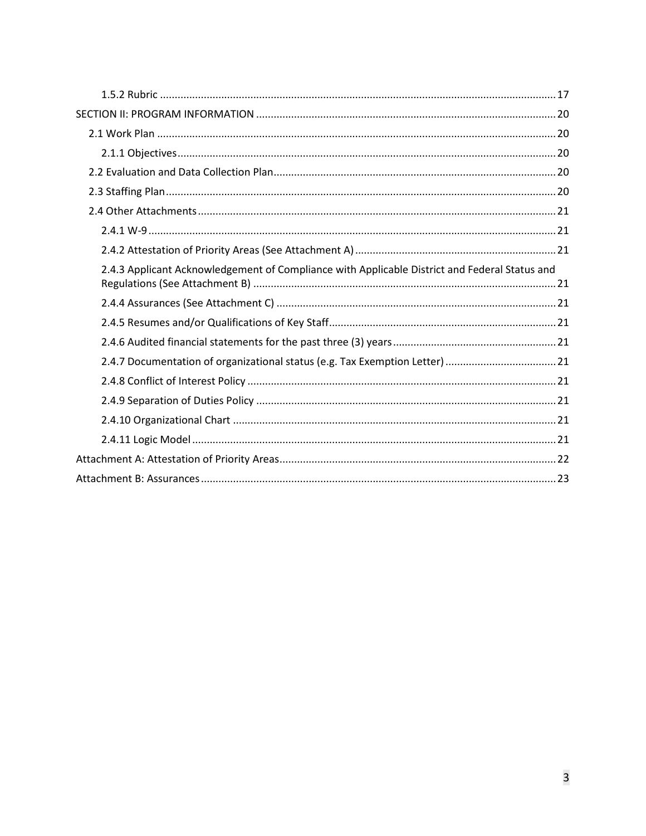| 2.4.3 Applicant Acknowledgement of Compliance with Applicable District and Federal Status and |
|-----------------------------------------------------------------------------------------------|
|                                                                                               |
|                                                                                               |
|                                                                                               |
| 2.4.7 Documentation of organizational status (e.g. Tax Exemption Letter) 21                   |
|                                                                                               |
|                                                                                               |
|                                                                                               |
|                                                                                               |
|                                                                                               |
|                                                                                               |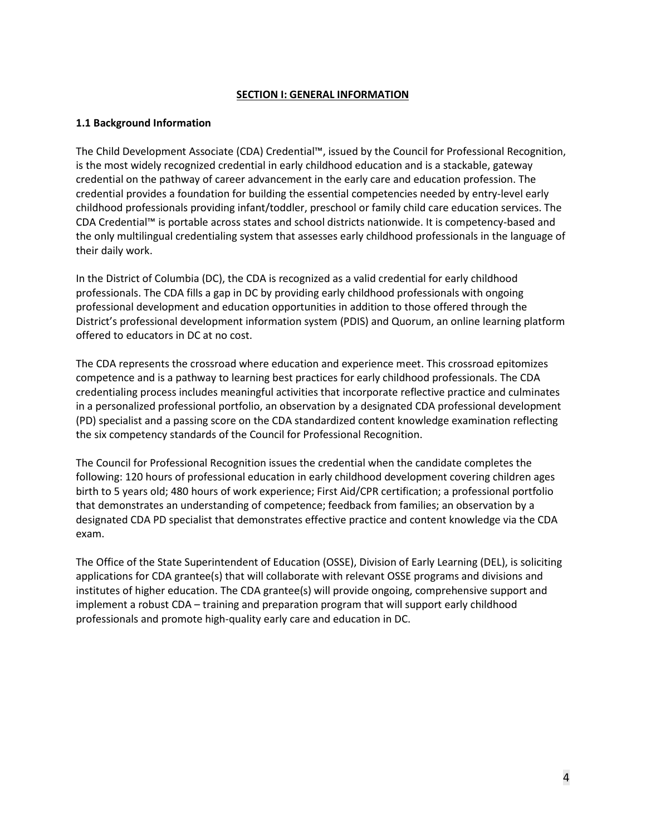### **SECTION I: GENERAL INFORMATION**

### <span id="page-3-1"></span><span id="page-3-0"></span>**1.1 Background Information**

The Child Development Associate (CDA) Credential™, issued by the Council for Professional Recognition, is the most widely recognized credential in early childhood education and is a stackable, gateway credential on the pathway of career advancement in the early care and education profession. The credential provides a foundation for building the essential competencies needed by entry-level early childhood professionals providing infant/toddler, preschool or family child care education services. The CDA Credential™ is portable across states and school districts nationwide. It is competency-based and the only multilingual credentialing system that assesses early childhood professionals in the language of their daily work.

In the District of Columbia (DC), the CDA is recognized as a valid credential for early childhood professionals. The CDA fills a gap in DC by providing early childhood professionals with ongoing professional development and education opportunities in addition to those offered through the District's professional development information system (PDIS) and Quorum, an online learning platform offered to educators in DC at no cost.

The CDA represents the crossroad where education and experience meet. This crossroad epitomizes competence and is a pathway to learning best practices for early childhood professionals. The CDA credentialing process includes meaningful activities that incorporate reflective practice and culminates in a personalized professional portfolio, an observation by a designated CDA professional development (PD) specialist and a passing score on the CDA standardized content knowledge examination reflecting the six competency standards of the Council for Professional Recognition.

The Council for Professional Recognition issues the credential when the candidate completes the following: 120 hours of professional education in early childhood development covering children ages birth to 5 years old; 480 hours of work experience; First Aid/CPR certification; a professional portfolio that demonstrates an understanding of competence; feedback from families; an observation by a designated CDA PD specialist that demonstrates effective practice and content knowledge via the CDA exam.

The Office of the State Superintendent of Education (OSSE), Division of Early Learning (DEL), is soliciting applications for CDA grantee(s) that will collaborate with relevant OSSE programs and divisions and institutes of higher education. The CDA grantee(s) will provide ongoing, comprehensive support and implement a robust CDA – training and preparation program that will support early childhood professionals and promote high-quality early care and education in DC.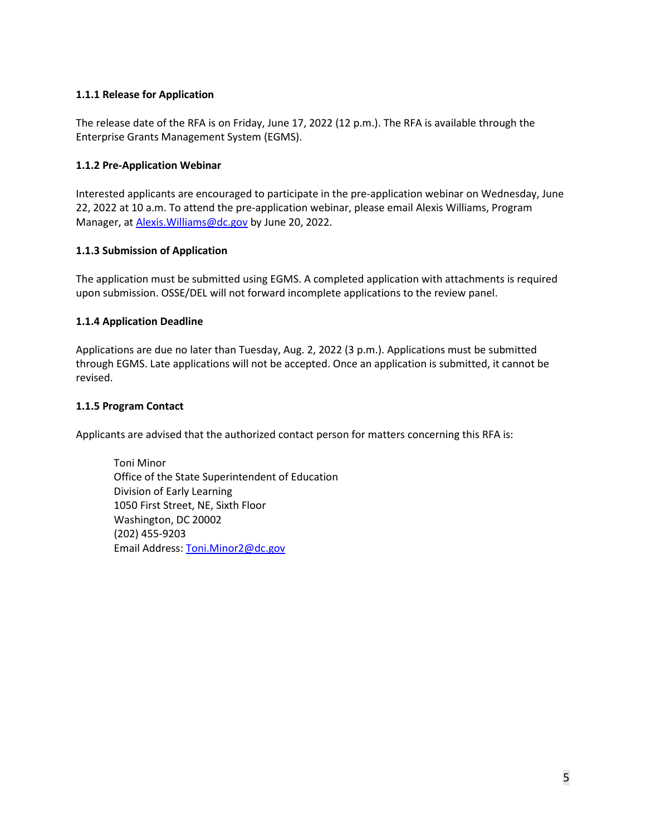# <span id="page-4-0"></span>**1.1.1 Release for Application**

The release date of the RFA is on Friday, June 17, 2022 (12 p.m.). The RFA is available through the Enterprise Grants Management System (EGMS).

# <span id="page-4-1"></span>**1.1.2 Pre-Application Webinar**

Interested applicants are encouraged to participate in the pre-application webinar on Wednesday, June 22, 2022 at 10 a.m. To attend the pre-application webinar, please email Alexis Williams, Program Manager, at [Alexis.Williams@dc.gov](mailto:Alexis.Williams@dc.gov) by June 20, 2022.

### <span id="page-4-2"></span>**1.1.3 Submission of Application**

The application must be submitted using EGMS. A completed application with attachments is required upon submission. OSSE/DEL will not forward incomplete applications to the review panel.

### <span id="page-4-3"></span>**1.1.4 Application Deadline**

Applications are due no later than Tuesday, Aug. 2, 2022 (3 p.m.). Applications must be submitted through EGMS. Late applications will not be accepted. Once an application is submitted, it cannot be revised.

### <span id="page-4-4"></span>**1.1.5 Program Contact**

Applicants are advised that the authorized contact person for matters concerning this RFA is:

Toni Minor Office of the State Superintendent of Education Division of Early Learning 1050 First Street, NE, Sixth Floor Washington, DC 20002 (202) 455-9203 Email Address: [Toni.Minor2@dc.gov](mailto:Toni.Minor2@dc.gov)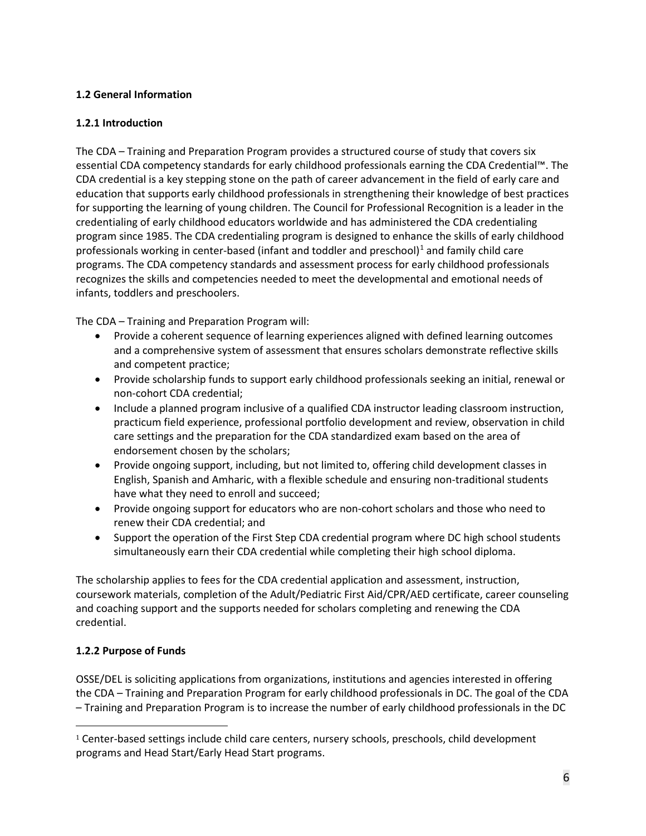# <span id="page-5-0"></span>**1.2 General Information**

# <span id="page-5-1"></span>**1.2.1 Introduction**

The CDA – Training and Preparation Program provides a structured course of study that covers six essential CDA competency standards for early childhood professionals earning the CDA Credential™. The CDA credential is a key stepping stone on the path of career advancement in the field of early care and education that supports early childhood professionals in strengthening their knowledge of best practices for supporting the learning of young children. The Council for Professional Recognition is a leader in the credentialing of early childhood educators worldwide and has administered the CDA credentialing program since 1985. The CDA credentialing program is designed to enhance the skills of early childhood professionals working in center-based (infant and toddler and preschool)<sup>[1](#page-5-3)</sup> and family child care programs. The CDA competency standards and assessment process for early childhood professionals recognizes the skills and competencies needed to meet the developmental and emotional needs of infants, toddlers and preschoolers.

The CDA – Training and Preparation Program will:

- Provide a coherent sequence of learning experiences aligned with defined learning outcomes and a comprehensive system of assessment that ensures scholars demonstrate reflective skills and competent practice;
- Provide scholarship funds to support early childhood professionals seeking an initial, renewal or non-cohort CDA credential;
- Include a planned program inclusive of a qualified CDA instructor leading classroom instruction, practicum field experience, professional portfolio development and review, observation in child care settings and the preparation for the CDA standardized exam based on the area of endorsement chosen by the scholars;
- Provide ongoing support, including, but not limited to, offering child development classes in English, Spanish and Amharic, with a flexible schedule and ensuring non-traditional students have what they need to enroll and succeed;
- Provide ongoing support for educators who are non-cohort scholars and those who need to renew their CDA credential; and
- Support the operation of the First Step CDA credential program where DC high school students simultaneously earn their CDA credential while completing their high school diploma.

The scholarship applies to fees for the CDA credential application and assessment, instruction, coursework materials, completion of the Adult/Pediatric First Aid/CPR/AED certificate, career counseling and coaching support and the supports needed for scholars completing and renewing the CDA credential.

# <span id="page-5-2"></span>**1.2.2 Purpose of Funds**

OSSE/DEL is soliciting applications from organizations, institutions and agencies interested in offering the CDA – Training and Preparation Program for early childhood professionals in DC. The goal of the CDA – Training and Preparation Program is to increase the number of early childhood professionals in the DC

<span id="page-5-3"></span><sup>&</sup>lt;sup>1</sup> Center-based settings include child care centers, nursery schools, preschools, child development programs and Head Start/Early Head Start programs.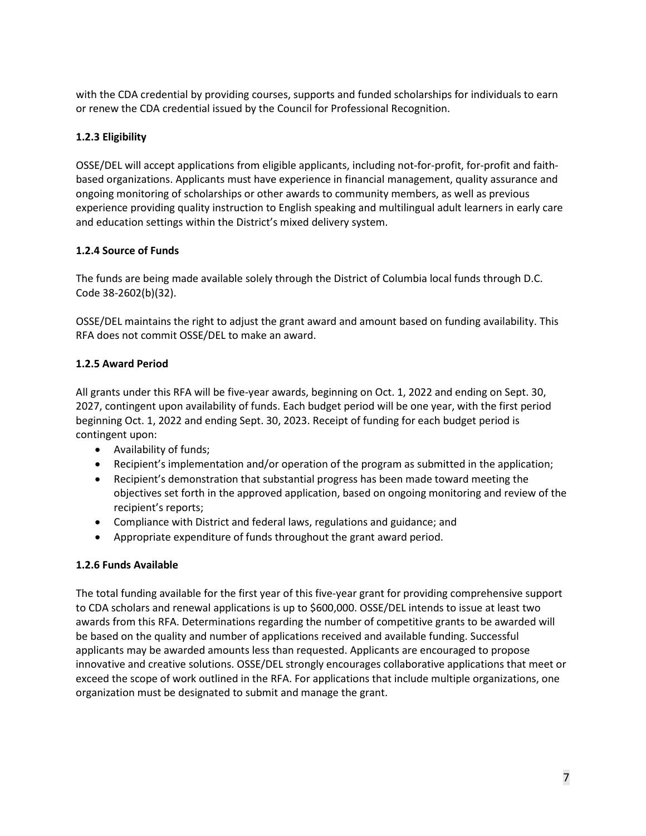with the CDA credential by providing courses, supports and funded scholarships for individuals to earn or renew the CDA credential issued by the Council for Professional Recognition.

# <span id="page-6-0"></span>**1.2.3 Eligibility**

OSSE/DEL will accept applications from eligible applicants, including not-for-profit, for-profit and faithbased organizations. Applicants must have experience in financial management, quality assurance and ongoing monitoring of scholarships or other awards to community members, as well as previous experience providing quality instruction to English speaking and multilingual adult learners in early care and education settings within the District's mixed delivery system.

# <span id="page-6-1"></span>**1.2.4 Source of Funds**

The funds are being made available solely through the District of Columbia local funds through D.C. Code 38-2602(b)(32).

OSSE/DEL maintains the right to adjust the grant award and amount based on funding availability. This RFA does not commit OSSE/DEL to make an award.

# <span id="page-6-2"></span>**1.2.5 Award Period**

All grants under this RFA will be five-year awards, beginning on Oct. 1, 2022 and ending on Sept. 30, 2027, contingent upon availability of funds. Each budget period will be one year, with the first period beginning Oct. 1, 2022 and ending Sept. 30, 2023. Receipt of funding for each budget period is contingent upon:

- Availability of funds;
- Recipient's implementation and/or operation of the program as submitted in the application;
- Recipient's demonstration that substantial progress has been made toward meeting the objectives set forth in the approved application, based on ongoing monitoring and review of the recipient's reports;
- Compliance with District and federal laws, regulations and guidance; and
- Appropriate expenditure of funds throughout the grant award period.

# <span id="page-6-3"></span>**1.2.6 Funds Available**

The total funding available for the first year of this five-year grant for providing comprehensive support to CDA scholars and renewal applications is up to \$600,000. OSSE/DEL intends to issue at least two awards from this RFA. Determinations regarding the number of competitive grants to be awarded will be based on the quality and number of applications received and available funding. Successful applicants may be awarded amounts less than requested. Applicants are encouraged to propose innovative and creative solutions. OSSE/DEL strongly encourages collaborative applications that meet or exceed the scope of work outlined in the RFA. For applications that include multiple organizations, one organization must be designated to submit and manage the grant.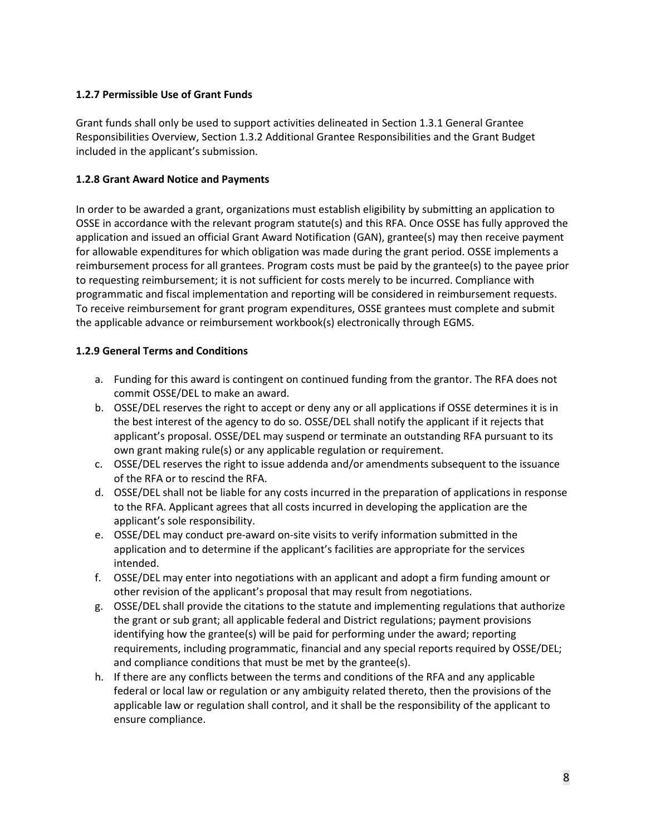# <span id="page-7-0"></span>**1.2.7 Permissible Use of Grant Funds**

Grant funds shall only be used to support activities delineated in Section 1.3.1 General Grantee Responsibilities Overview, Section 1.3.2 Additional Grantee Responsibilities and the Grant Budget included in the applicant's submission.

### <span id="page-7-1"></span>**1.2.8 Grant Award Notice and Payments**

In order to be awarded a grant, organizations must establish eligibility by submitting an application to OSSE in accordance with the relevant program statute(s) and this RFA. Once OSSE has fully approved the application and issued an official Grant Award Notification (GAN), grantee(s) may then receive payment for allowable expenditures for which obligation was made during the grant period. OSSE implements a reimbursement process for all grantees. Program costs must be paid by the grantee(s) to the payee prior to requesting reimbursement; it is not sufficient for costs merely to be incurred. Compliance with programmatic and fiscal implementation and reporting will be considered in reimbursement requests. To receive reimbursement for grant program expenditures, OSSE grantees must complete and submit the applicable advance or reimbursement workbook(s) electronically through EGMS.

### <span id="page-7-2"></span>**1.2.9 General Terms and Conditions**

- a. Funding for this award is contingent on continued funding from the grantor. The RFA does not commit OSSE/DEL to make an award.
- b. OSSE/DEL reserves the right to accept or deny any or all applications if OSSE determines it is in the best interest of the agency to do so. OSSE/DEL shall notify the applicant if it rejects that applicant's proposal. OSSE/DEL may suspend or terminate an outstanding RFA pursuant to its own grant making rule(s) or any applicable regulation or requirement.
- c. OSSE/DEL reserves the right to issue addenda and/or amendments subsequent to the issuance of the RFA or to rescind the RFA.
- d. OSSE/DEL shall not be liable for any costs incurred in the preparation of applications in response to the RFA. Applicant agrees that all costs incurred in developing the application are the applicant's sole responsibility.
- e. OSSE/DEL may conduct pre-award on-site visits to verify information submitted in the application and to determine if the applicant's facilities are appropriate for the services intended.
- f. OSSE/DEL may enter into negotiations with an applicant and adopt a firm funding amount or other revision of the applicant's proposal that may result from negotiations.
- g. OSSE/DEL shall provide the citations to the statute and implementing regulations that authorize the grant or sub grant; all applicable federal and District regulations; payment provisions identifying how the grantee(s) will be paid for performing under the award; reporting requirements, including programmatic, financial and any special reports required by OSSE/DEL; and compliance conditions that must be met by the grantee(s).
- h. If there are any conflicts between the terms and conditions of the RFA and any applicable federal or local law or regulation or any ambiguity related thereto, then the provisions of the applicable law or regulation shall control, and it shall be the responsibility of the applicant to ensure compliance.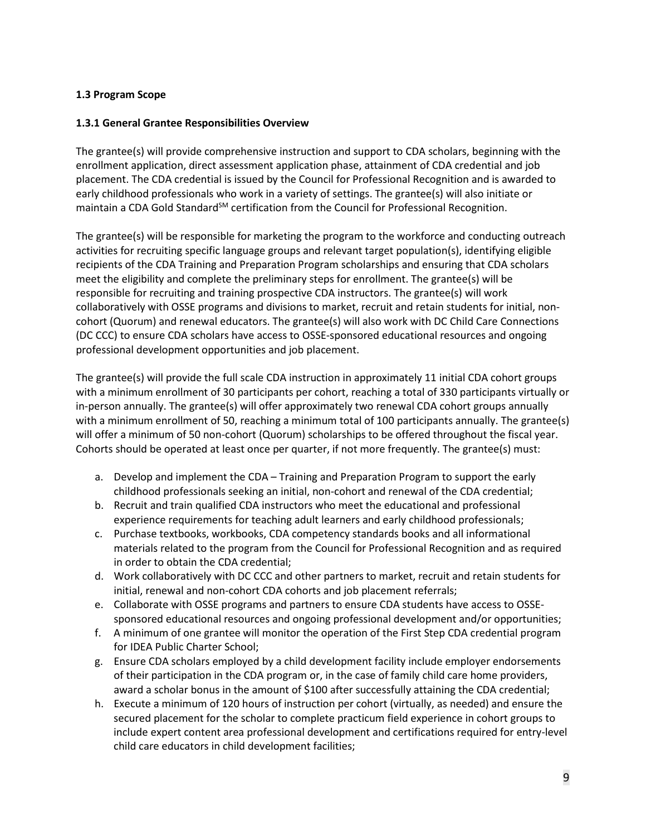# <span id="page-8-0"></span>**1.3 Program Scope**

### <span id="page-8-1"></span>**1.3.1 General Grantee Responsibilities Overview**

The grantee(s) will provide comprehensive instruction and support to CDA scholars, beginning with the enrollment application, direct assessment application phase, attainment of CDA credential and job placement. The CDA credential is issued by the Council for Professional Recognition and is awarded to early childhood professionals who work in a variety of settings. The grantee(s) will also initiate or maintain a CDA Gold Standard<sup>SM</sup> certification from the Council for Professional Recognition.

The grantee(s) will be responsible for marketing the program to the workforce and conducting outreach activities for recruiting specific language groups and relevant target population(s), identifying eligible recipients of the CDA Training and Preparation Program scholarships and ensuring that CDA scholars meet the eligibility and complete the preliminary steps for enrollment. The grantee(s) will be responsible for recruiting and training prospective CDA instructors. The grantee(s) will work collaboratively with OSSE programs and divisions to market, recruit and retain students for initial, noncohort (Quorum) and renewal educators. The grantee(s) will also work with DC Child Care Connections (DC CCC) to ensure CDA scholars have access to OSSE-sponsored educational resources and ongoing professional development opportunities and job placement.

The grantee(s) will provide the full scale CDA instruction in approximately 11 initial CDA cohort groups with a minimum enrollment of 30 participants per cohort, reaching a total of 330 participants virtually or in-person annually. The grantee(s) will offer approximately two renewal CDA cohort groups annually with a minimum enrollment of 50, reaching a minimum total of 100 participants annually. The grantee(s) will offer a minimum of 50 non-cohort (Quorum) scholarships to be offered throughout the fiscal year. Cohorts should be operated at least once per quarter, if not more frequently. The grantee(s) must:

- a. Develop and implement the CDA Training and Preparation Program to support the early childhood professionals seeking an initial, non-cohort and renewal of the CDA credential;
- b. Recruit and train qualified CDA instructors who meet the educational and professional experience requirements for teaching adult learners and early childhood professionals;
- c. Purchase textbooks, workbooks, CDA competency standards books and all informational materials related to the program from the Council for Professional Recognition and as required in order to obtain the CDA credential;
- d. Work collaboratively with DC CCC and other partners to market, recruit and retain students for initial, renewal and non-cohort CDA cohorts and job placement referrals;
- e. Collaborate with OSSE programs and partners to ensure CDA students have access to OSSEsponsored educational resources and ongoing professional development and/or opportunities;
- f. A minimum of one grantee will monitor the operation of the First Step CDA credential program for IDEA Public Charter School;
- g. Ensure CDA scholars employed by a child development facility include employer endorsements of their participation in the CDA program or, in the case of family child care home providers, award a scholar bonus in the amount of \$100 after successfully attaining the CDA credential;
- h. Execute a minimum of 120 hours of instruction per cohort (virtually, as needed) and ensure the secured placement for the scholar to complete practicum field experience in cohort groups to include expert content area professional development and certifications required for entry-level child care educators in child development facilities;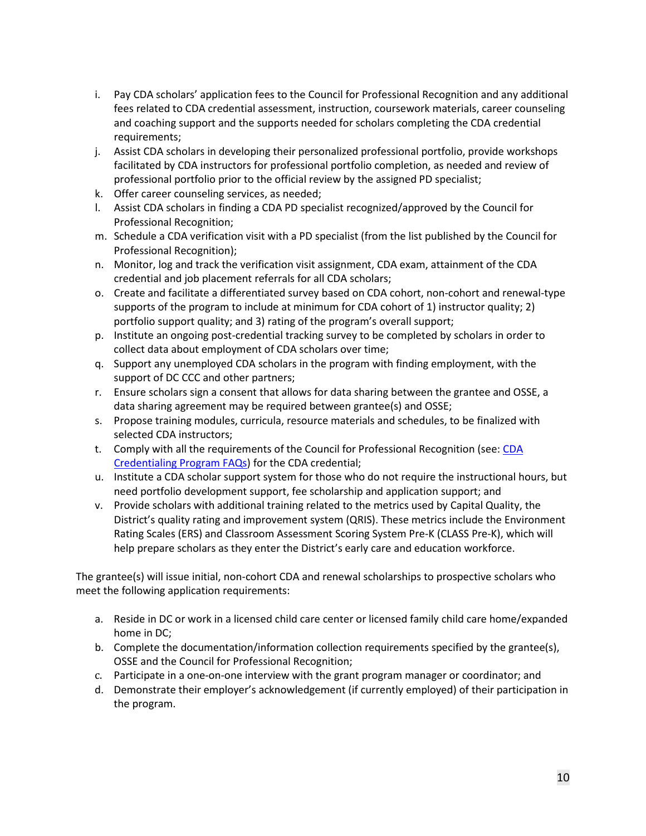- i. Pay CDA scholars' application fees to the Council for Professional Recognition and any additional fees related to CDA credential assessment, instruction, coursework materials, career counseling and coaching support and the supports needed for scholars completing the CDA credential requirements;
- j. Assist CDA scholars in developing their personalized professional portfolio, provide workshops facilitated by CDA instructors for professional portfolio completion, as needed and review of professional portfolio prior to the official review by the assigned PD specialist;
- k. Offer career counseling services, as needed;
- l. Assist CDA scholars in finding a CDA PD specialist recognized/approved by the Council for Professional Recognition;
- m. Schedule a CDA verification visit with a PD specialist (from the list published by the Council for Professional Recognition);
- n. Monitor, log and track the verification visit assignment, CDA exam, attainment of the CDA credential and job placement referrals for all CDA scholars;
- o. Create and facilitate a differentiated survey based on CDA cohort, non-cohort and renewal-type supports of the program to include at minimum for CDA cohort of 1) instructor quality; 2) portfolio support quality; and 3) rating of the program's overall support;
- p. Institute an ongoing post-credential tracking survey to be completed by scholars in order to collect data about employment of CDA scholars over time;
- q. Support any unemployed CDA scholars in the program with finding employment, with the support of DC CCC and other partners;
- r. Ensure scholars sign a consent that allows for data sharing between the grantee and OSSE, a data sharing agreement may be required between grantee(s) and OSSE;
- s. Propose training modules, curricula, resource materials and schedules, to be finalized with selected CDA instructors;
- t. Comply with all the requirements of the Council for Professional Recognition (see: [CDA](https://www.cdacouncil.org/en/faqs/#before-you-apply)  [Credentialing Program FAQs\)](https://www.cdacouncil.org/en/faqs/#before-you-apply) for the CDA credential;
- u. Institute a CDA scholar support system for those who do not require the instructional hours, but need portfolio development support, fee scholarship and application support; and
- v. Provide scholars with additional training related to the metrics used by Capital Quality, the District's quality rating and improvement system (QRIS). These metrics include the Environment Rating Scales (ERS) and Classroom Assessment Scoring System Pre-K (CLASS Pre-K), which will help prepare scholars as they enter the District's early care and education workforce.

The grantee(s) will issue initial, non-cohort CDA and renewal scholarships to prospective scholars who meet the following application requirements:

- a. Reside in DC or work in a licensed child care center or licensed family child care home/expanded home in DC;
- b. Complete the documentation/information collection requirements specified by the grantee(s), OSSE and the Council for Professional Recognition;
- c. Participate in a one-on-one interview with the grant program manager or coordinator; and
- d. Demonstrate their employer's acknowledgement (if currently employed) of their participation in the program.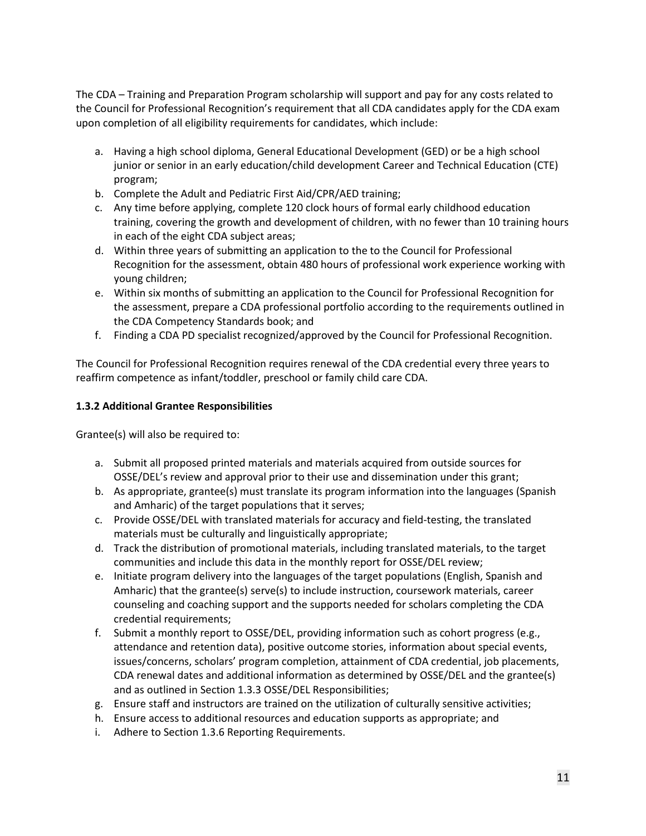The CDA – Training and Preparation Program scholarship will support and pay for any costs related to the Council for Professional Recognition's requirement that all CDA candidates apply for the CDA exam upon completion of all eligibility requirements for candidates, which include:

- a. Having a high school diploma, General Educational Development (GED) or be a high school junior or senior in an early education/child development Career and Technical Education (CTE) program;
- b. Complete the Adult and Pediatric First Aid/CPR/AED training;
- c. Any time before applying, complete 120 clock hours of formal early childhood education training, covering the growth and development of children, with no fewer than 10 training hours in each of the eight CDA subject areas;
- d. Within three years of submitting an application to the to the Council for Professional Recognition for the assessment, obtain 480 hours of professional work experience working with young children;
- e. Within six months of submitting an application to the Council for Professional Recognition for the assessment, prepare a CDA professional portfolio according to the requirements outlined in the CDA Competency Standards book; and
- f. Finding a CDA PD specialist recognized/approved by the Council for Professional Recognition.

The Council for Professional Recognition requires renewal of the CDA credential every three years to reaffirm competence as infant/toddler, preschool or family child care CDA.

### <span id="page-10-0"></span>**1.3.2 Additional Grantee Responsibilities**

Grantee(s) will also be required to:

- a. Submit all proposed printed materials and materials acquired from outside sources for OSSE/DEL's review and approval prior to their use and dissemination under this grant;
- b. As appropriate, grantee(s) must translate its program information into the languages (Spanish and Amharic) of the target populations that it serves;
- c. Provide OSSE/DEL with translated materials for accuracy and field-testing, the translated materials must be culturally and linguistically appropriate;
- d. Track the distribution of promotional materials, including translated materials, to the target communities and include this data in the monthly report for OSSE/DEL review;
- e. Initiate program delivery into the languages of the target populations (English, Spanish and Amharic) that the grantee(s) serve(s) to include instruction, coursework materials, career counseling and coaching support and the supports needed for scholars completing the CDA credential requirements;
- f. Submit a monthly report to OSSE/DEL, providing information such as cohort progress (e.g., attendance and retention data), positive outcome stories, information about special events, issues/concerns, scholars' program completion, attainment of CDA credential, job placements, CDA renewal dates and additional information as determined by OSSE/DEL and the grantee(s) and as outlined in Section 1.3.3 OSSE/DEL Responsibilities;
- g. Ensure staff and instructors are trained on the utilization of culturally sensitive activities;
- h. Ensure access to additional resources and education supports as appropriate; and
- i. Adhere to Section 1.3.6 Reporting Requirements.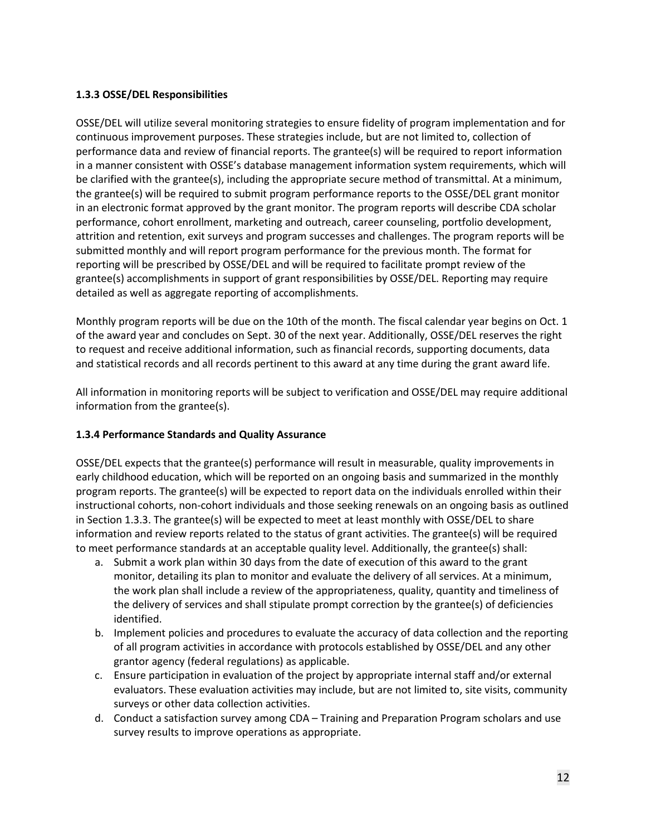# <span id="page-11-0"></span>**1.3.3 OSSE/DEL Responsibilities**

OSSE/DEL will utilize several monitoring strategies to ensure fidelity of program implementation and for continuous improvement purposes. These strategies include, but are not limited to, collection of performance data and review of financial reports. The grantee(s) will be required to report information in a manner consistent with OSSE's database management information system requirements, which will be clarified with the grantee(s), including the appropriate secure method of transmittal. At a minimum, the grantee(s) will be required to submit program performance reports to the OSSE/DEL grant monitor in an electronic format approved by the grant monitor. The program reports will describe CDA scholar performance, cohort enrollment, marketing and outreach, career counseling, portfolio development, attrition and retention, exit surveys and program successes and challenges. The program reports will be submitted monthly and will report program performance for the previous month. The format for reporting will be prescribed by OSSE/DEL and will be required to facilitate prompt review of the grantee(s) accomplishments in support of grant responsibilities by OSSE/DEL. Reporting may require detailed as well as aggregate reporting of accomplishments.

Monthly program reports will be due on the 10th of the month. The fiscal calendar year begins on Oct. 1 of the award year and concludes on Sept. 30 of the next year. Additionally, OSSE/DEL reserves the right to request and receive additional information, such as financial records, supporting documents, data and statistical records and all records pertinent to this award at any time during the grant award life.

All information in monitoring reports will be subject to verification and OSSE/DEL may require additional information from the grantee(s).

# <span id="page-11-1"></span>**1.3.4 Performance Standards and Quality Assurance**

OSSE/DEL expects that the grantee(s) performance will result in measurable, quality improvements in early childhood education, which will be reported on an ongoing basis and summarized in the monthly program reports. The grantee(s) will be expected to report data on the individuals enrolled within their instructional cohorts, non-cohort individuals and those seeking renewals on an ongoing basis as outlined in Section 1.3.3. The grantee(s) will be expected to meet at least monthly with OSSE/DEL to share information and review reports related to the status of grant activities. The grantee(s) will be required to meet performance standards at an acceptable quality level. Additionally, the grantee(s) shall:

- a. Submit a work plan within 30 days from the date of execution of this award to the grant monitor, detailing its plan to monitor and evaluate the delivery of all services. At a minimum, the work plan shall include a review of the appropriateness, quality, quantity and timeliness of the delivery of services and shall stipulate prompt correction by the grantee(s) of deficiencies identified.
- b. Implement policies and procedures to evaluate the accuracy of data collection and the reporting of all program activities in accordance with protocols established by OSSE/DEL and any other grantor agency (federal regulations) as applicable.
- c. Ensure participation in evaluation of the project by appropriate internal staff and/or external evaluators. These evaluation activities may include, but are not limited to, site visits, community surveys or other data collection activities.
- d. Conduct a satisfaction survey among CDA Training and Preparation Program scholars and use survey results to improve operations as appropriate.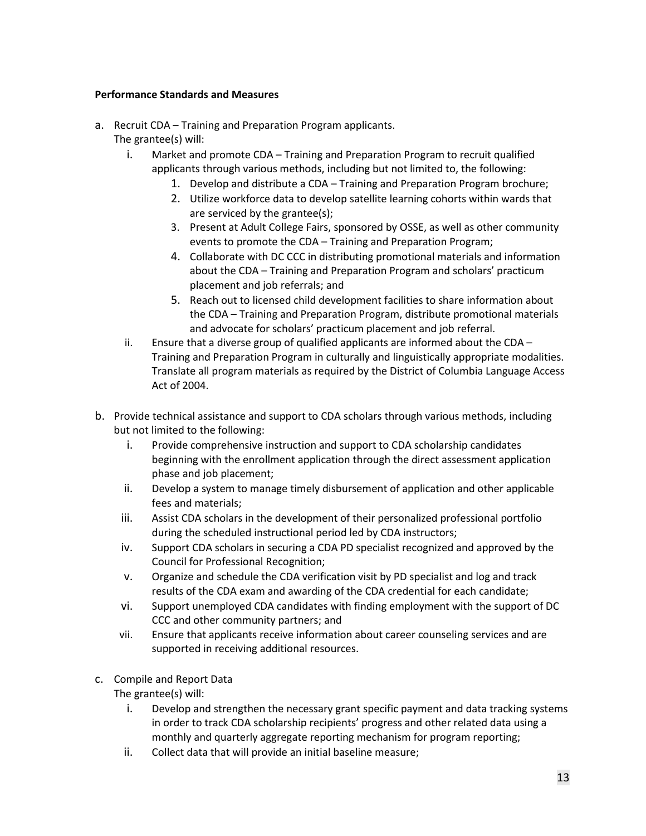### **Performance Standards and Measures**

- a. Recruit CDA Training and Preparation Program applicants. The grantee(s) will:
	- i. Market and promote CDA Training and Preparation Program to recruit qualified applicants through various methods, including but not limited to, the following:
		- 1. Develop and distribute a CDA Training and Preparation Program brochure;
		- 2. Utilize workforce data to develop satellite learning cohorts within wards that are serviced by the grantee(s);
		- 3. Present at Adult College Fairs, sponsored by OSSE, as well as other community events to promote the CDA – Training and Preparation Program;
		- 4. Collaborate with DC CCC in distributing promotional materials and information about the CDA – Training and Preparation Program and scholars' practicum placement and job referrals; and
		- 5. Reach out to licensed child development facilities to share information about the CDA – Training and Preparation Program, distribute promotional materials and advocate for scholars' practicum placement and job referral.
	- ii. Ensure that a diverse group of qualified applicants are informed about the CDA Training and Preparation Program in culturally and linguistically appropriate modalities. Translate all program materials as required by the District of Columbia Language Access Act of 2004.
- b. Provide technical assistance and support to CDA scholars through various methods, including but not limited to the following:
	- i. Provide comprehensive instruction and support to CDA scholarship candidates beginning with the enrollment application through the direct assessment application phase and job placement;
	- ii. Develop a system to manage timely disbursement of application and other applicable fees and materials;
	- iii. Assist CDA scholars in the development of their personalized professional portfolio during the scheduled instructional period led by CDA instructors;
	- iv. Support CDA scholars in securing a CDA PD specialist recognized and approved by the Council for Professional Recognition;
	- v. Organize and schedule the CDA verification visit by PD specialist and log and track results of the CDA exam and awarding of the CDA credential for each candidate;
	- vi. Support unemployed CDA candidates with finding employment with the support of DC CCC and other community partners; and
	- vii. Ensure that applicants receive information about career counseling services and are supported in receiving additional resources.
- c. Compile and Report Data

The grantee(s) will:

- i. Develop and strengthen the necessary grant specific payment and data tracking systems in order to track CDA scholarship recipients' progress and other related data using a monthly and quarterly aggregate reporting mechanism for program reporting;
- ii. Collect data that will provide an initial baseline measure;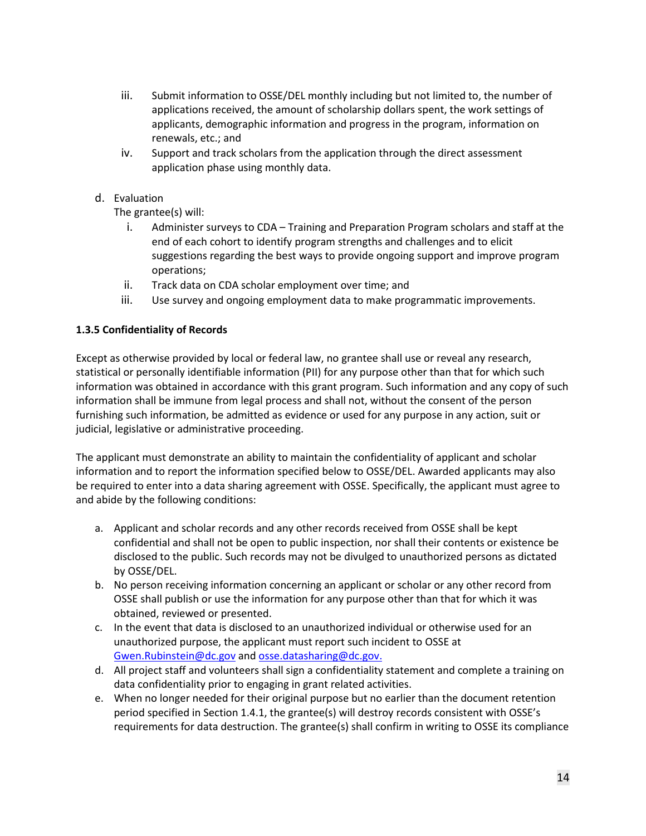- iii. Submit information to OSSE/DEL monthly including but not limited to, the number of applications received, the amount of scholarship dollars spent, the work settings of applicants, demographic information and progress in the program, information on renewals, etc.; and
- iv. Support and track scholars from the application through the direct assessment application phase using monthly data.

# d. Evaluation

The grantee(s) will:

- i. Administer surveys to CDA Training and Preparation Program scholars and staff at the end of each cohort to identify program strengths and challenges and to elicit suggestions regarding the best ways to provide ongoing support and improve program operations;
- ii. Track data on CDA scholar employment over time; and
- iii. Use survey and ongoing employment data to make programmatic improvements.

# <span id="page-13-0"></span>**1.3.5 Confidentiality of Records**

Except as otherwise provided by local or federal law, no grantee shall use or reveal any research, statistical or personally identifiable information (PII) for any purpose other than that for which such information was obtained in accordance with this grant program. Such information and any copy of such information shall be immune from legal process and shall not, without the consent of the person furnishing such information, be admitted as evidence or used for any purpose in any action, suit or judicial, legislative or administrative proceeding.

The applicant must demonstrate an ability to maintain the confidentiality of applicant and scholar information and to report the information specified below to OSSE/DEL. Awarded applicants may also be required to enter into a data sharing agreement with OSSE. Specifically, the applicant must agree to and abide by the following conditions:

- a. Applicant and scholar records and any other records received from OSSE shall be kept confidential and shall not be open to public inspection, nor shall their contents or existence be disclosed to the public. Such records may not be divulged to unauthorized persons as dictated by OSSE/DEL.
- b. No person receiving information concerning an applicant or scholar or any other record from OSSE shall publish or use the information for any purpose other than that for which it was obtained, reviewed or presented.
- c. In the event that data is disclosed to an unauthorized individual or otherwise used for an unauthorized purpose, the applicant must report such incident to OSSE at [Gwen.Rubinstein@dc.gov](mailto:Gwen.Rubinstein@dc.gov) and [osse.datasharing@dc.gov.](mailto:osse.datasharing@dc.gov)
- d. All project staff and volunteers shall sign a confidentiality statement and complete a training on data confidentiality prior to engaging in grant related activities.
- e. When no longer needed for their original purpose but no earlier than the document retention period specified in Section 1.4.1, the grantee(s) will destroy records consistent with OSSE's requirements for data destruction. The grantee(s) shall confirm in writing to OSSE its compliance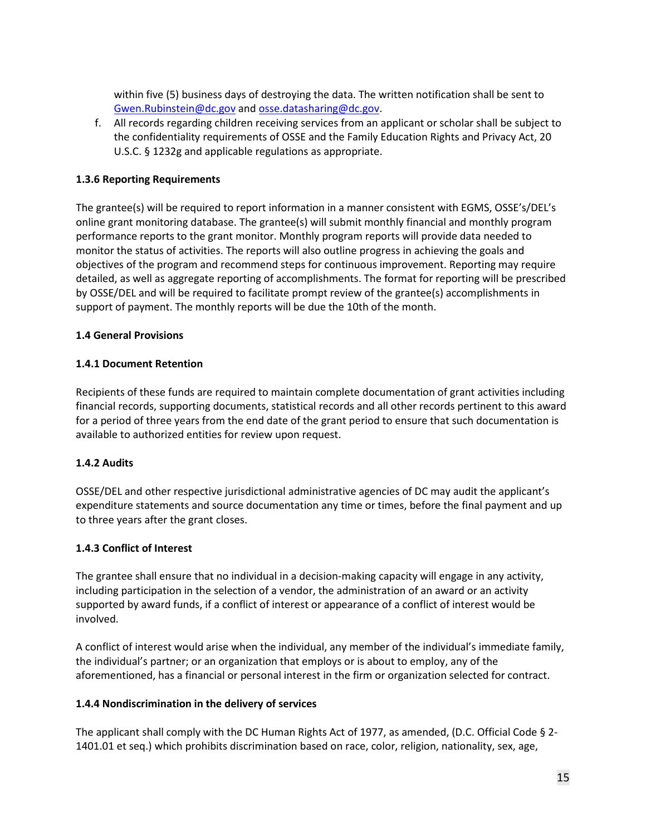within five (5) business days of destroying the data. The written notification shall be sent to [Gwen.Rubinstein@dc.gov](mailto:Gwen.Rubinstein@dc.gov) and [osse.datasharing@dc.gov.](mailto:osse.datasharing@dc.gov)

f. All records regarding children receiving services from an applicant or scholar shall be subject to the confidentiality requirements of OSSE and the Family Education Rights and Privacy Act, 20 U.S.C. § 1232g and applicable regulations as appropriate.

# <span id="page-14-0"></span>**1.3.6 Reporting Requirements**

The grantee(s) will be required to report information in a manner consistent with EGMS, OSSE's/DEL's online grant monitoring database. The grantee(s) will submit monthly financial and monthly program performance reports to the grant monitor. Monthly program reports will provide data needed to monitor the status of activities. The reports will also outline progress in achieving the goals and objectives of the program and recommend steps for continuous improvement. Reporting may require detailed, as well as aggregate reporting of accomplishments. The format for reporting will be prescribed by OSSE/DEL and will be required to facilitate prompt review of the grantee(s) accomplishments in support of payment. The monthly reports will be due the 10th of the month.

### <span id="page-14-1"></span>**1.4 General Provisions**

### <span id="page-14-2"></span>**1.4.1 Document Retention**

Recipients of these funds are required to maintain complete documentation of grant activities including financial records, supporting documents, statistical records and all other records pertinent to this award for a period of three years from the end date of the grant period to ensure that such documentation is available to authorized entities for review upon request.

### <span id="page-14-3"></span>**1.4.2 Audits**

OSSE/DEL and other respective jurisdictional administrative agencies of DC may audit the applicant's expenditure statements and source documentation any time or times, before the final payment and up to three years after the grant closes.

#### <span id="page-14-4"></span>**1.4.3 Conflict of Interest**

The grantee shall ensure that no individual in a decision-making capacity will engage in any activity, including participation in the selection of a vendor, the administration of an award or an activity supported by award funds, if a conflict of interest or appearance of a conflict of interest would be involved.

A conflict of interest would arise when the individual, any member of the individual's immediate family, the individual's partner; or an organization that employs or is about to employ, any of the aforementioned, has a financial or personal interest in the firm or organization selected for contract.

#### <span id="page-14-5"></span>**1.4.4 Nondiscrimination in the delivery of services**

The applicant shall comply with the DC Human Rights Act of 1977, as amended, (D.C. Official Code § 2- 1401.01 et seq.) which prohibits discrimination based on race, color, religion, nationality, sex, age,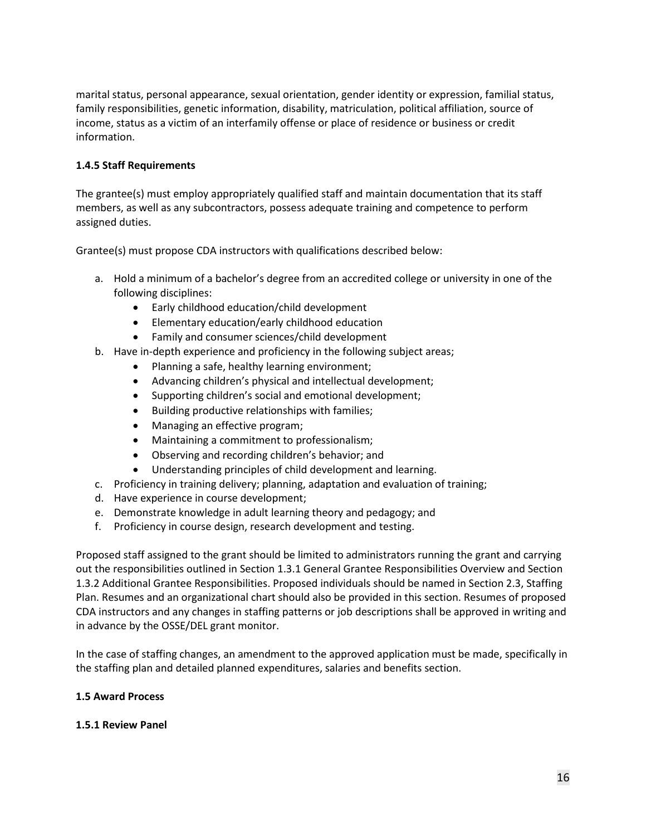marital status, personal appearance, sexual orientation, gender identity or expression, familial status, family responsibilities, genetic information, disability, matriculation, political affiliation, source of income, status as a victim of an interfamily offense or place of residence or business or credit information.

# <span id="page-15-0"></span>**1.4.5 Staff Requirements**

The grantee(s) must employ appropriately qualified staff and maintain documentation that its staff members, as well as any subcontractors, possess adequate training and competence to perform assigned duties.

Grantee(s) must propose CDA instructors with qualifications described below:

- a. Hold a minimum of a bachelor's degree from an accredited college or university in one of the following disciplines:
	- Early childhood education/child development
	- Elementary education/early childhood education
	- Family and consumer sciences/child development
- b. Have in-depth experience and proficiency in the following subject areas;
	- Planning a safe, healthy learning environment;
	- Advancing children's physical and intellectual development;
	- Supporting children's social and emotional development;
	- Building productive relationships with families;
	- Managing an effective program;
	- Maintaining a commitment to professionalism;
	- Observing and recording children's behavior; and
	- Understanding principles of child development and learning.
- c. Proficiency in training delivery; planning, adaptation and evaluation of training;
- d. Have experience in course development;
- e. Demonstrate knowledge in adult learning theory and pedagogy; and
- f. Proficiency in course design, research development and testing.

Proposed staff assigned to the grant should be limited to administrators running the grant and carrying out the responsibilities outlined in Section 1.3.1 General Grantee Responsibilities Overview and Section 1.3.2 Additional Grantee Responsibilities. Proposed individuals should be named in Section 2.3, Staffing Plan. Resumes and an organizational chart should also be provided in this section. Resumes of proposed CDA instructors and any changes in staffing patterns or job descriptions shall be approved in writing and in advance by the OSSE/DEL grant monitor.

In the case of staffing changes, an amendment to the approved application must be made, specifically in the staffing plan and detailed planned expenditures, salaries and benefits section.

### <span id="page-15-1"></span>**1.5 Award Process**

### <span id="page-15-2"></span>**1.5.1 Review Panel**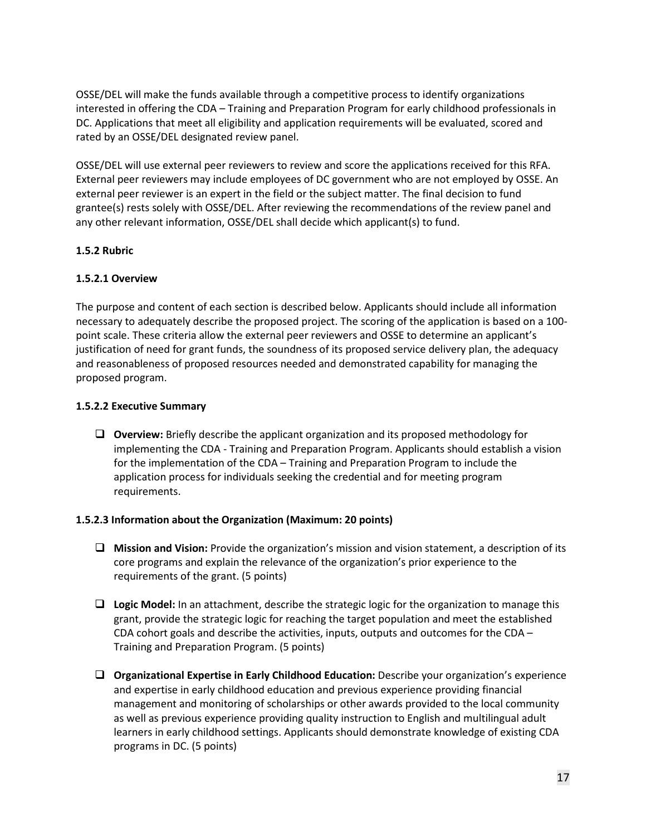OSSE/DEL will make the funds available through a competitive process to identify organizations interested in offering the CDA – Training and Preparation Program for early childhood professionals in DC. Applications that meet all eligibility and application requirements will be evaluated, scored and rated by an OSSE/DEL designated review panel.

OSSE/DEL will use external peer reviewers to review and score the applications received for this RFA. External peer reviewers may include employees of DC government who are not employed by OSSE. An external peer reviewer is an expert in the field or the subject matter. The final decision to fund grantee(s) rests solely with OSSE/DEL. After reviewing the recommendations of the review panel and any other relevant information, OSSE/DEL shall decide which applicant(s) to fund.

# <span id="page-16-0"></span>**1.5.2 Rubric**

# **1.5.2.1 Overview**

The purpose and content of each section is described below. Applicants should include all information necessary to adequately describe the proposed project. The scoring of the application is based on a 100 point scale. These criteria allow the external peer reviewers and OSSE to determine an applicant's justification of need for grant funds, the soundness of its proposed service delivery plan, the adequacy and reasonableness of proposed resources needed and demonstrated capability for managing the proposed program.

# **1.5.2.2 Executive Summary**

 **Overview:** Briefly describe the applicant organization and its proposed methodology for implementing the CDA - Training and Preparation Program. Applicants should establish a vision for the implementation of the CDA – Training and Preparation Program to include the application process for individuals seeking the credential and for meeting program requirements.

# **1.5.2.3 Information about the Organization (Maximum: 20 points)**

- **Mission and Vision:** Provide the organization's mission and vision statement, a description of its core programs and explain the relevance of the organization's prior experience to the requirements of the grant. (5 points)
- **Logic Model:** In an attachment, describe the strategic logic for the organization to manage this grant, provide the strategic logic for reaching the target population and meet the established CDA cohort goals and describe the activities, inputs, outputs and outcomes for the CDA – Training and Preparation Program. (5 points)
- **Organizational Expertise in Early Childhood Education:** Describe your organization's experience and expertise in early childhood education and previous experience providing financial management and monitoring of scholarships or other awards provided to the local community as well as previous experience providing quality instruction to English and multilingual adult learners in early childhood settings. Applicants should demonstrate knowledge of existing CDA programs in DC. (5 points)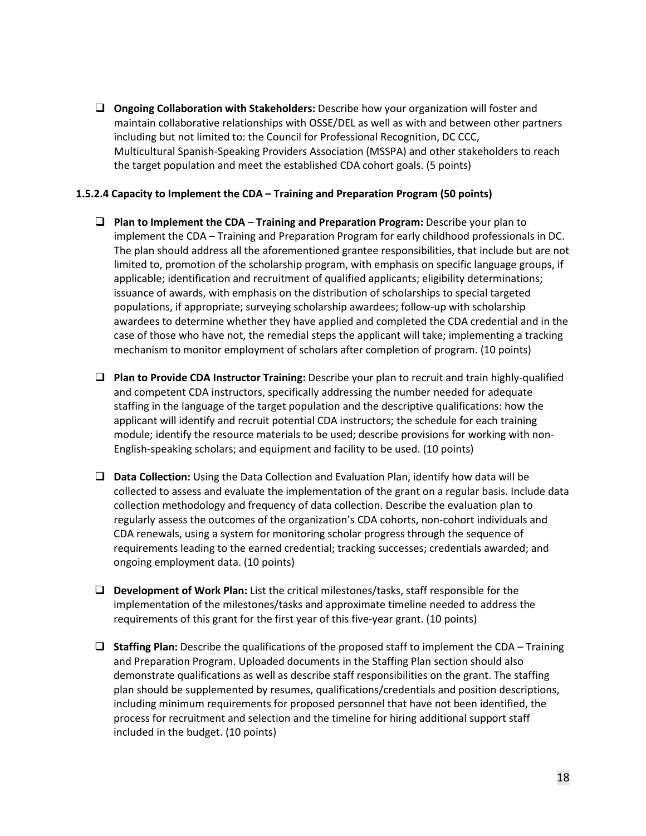**Ongoing Collaboration with Stakeholders:** Describe how your organization will foster and maintain collaborative relationships with OSSE/DEL as well as with and between other partners including but not limited to: the Council for Professional Recognition, DC CCC, Multicultural Spanish-Speaking Providers Association (MSSPA) and other stakeholders to reach the target population and meet the established CDA cohort goals. (5 points)

### **1.5.2.4 Capacity to Implement the CDA – Training and Preparation Program (50 points)**

- **Plan to Implement the CDA Training and Preparation Program:** Describe your plan to implement the CDA – Training and Preparation Program for early childhood professionals in DC. The plan should address all the aforementioned grantee responsibilities, that include but are not limited to, promotion of the scholarship program, with emphasis on specific language groups, if applicable; identification and recruitment of qualified applicants; eligibility determinations; issuance of awards, with emphasis on the distribution of scholarships to special targeted populations, if appropriate; surveying scholarship awardees; follow-up with scholarship awardees to determine whether they have applied and completed the CDA credential and in the case of those who have not, the remedial steps the applicant will take; implementing a tracking mechanism to monitor employment of scholars after completion of program. (10 points)
- **Plan to Provide CDA Instructor Training:** Describe your plan to recruit and train highly-qualified and competent CDA instructors, specifically addressing the number needed for adequate staffing in the language of the target population and the descriptive qualifications: how the applicant will identify and recruit potential CDA instructors; the schedule for each training module; identify the resource materials to be used; describe provisions for working with non-English-speaking scholars; and equipment and facility to be used. (10 points)
- **Data Collection:** Using the Data Collection and Evaluation Plan, identify how data will be collected to assess and evaluate the implementation of the grant on a regular basis. Include data collection methodology and frequency of data collection. Describe the evaluation plan to regularly assess the outcomes of the organization's CDA cohorts, non-cohort individuals and CDA renewals, using a system for monitoring scholar progress through the sequence of requirements leading to the earned credential; tracking successes; credentials awarded; and ongoing employment data. (10 points)
- **Development of Work Plan:** List the critical milestones/tasks, staff responsible for the implementation of the milestones/tasks and approximate timeline needed to address the requirements of this grant for the first year of this five-year grant. (10 points)
- **Staffing Plan:** Describe the qualifications of the proposed staff to implement the CDA Training and Preparation Program. Uploaded documents in the Staffing Plan section should also demonstrate qualifications as well as describe staff responsibilities on the grant. The staffing plan should be supplemented by resumes, qualifications/credentials and position descriptions, including minimum requirements for proposed personnel that have not been identified, the process for recruitment and selection and the timeline for hiring additional support staff included in the budget. (10 points)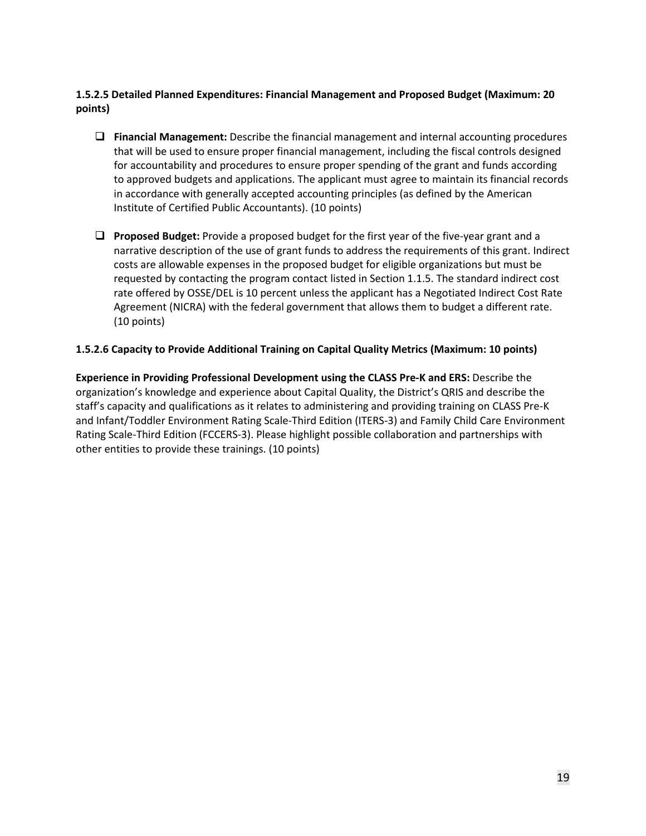# **1.5.2.5 Detailed Planned Expenditures: Financial Management and Proposed Budget (Maximum: 20 points)**

- **Financial Management:** Describe the financial management and internal accounting procedures that will be used to ensure proper financial management, including the fiscal controls designed for accountability and procedures to ensure proper spending of the grant and funds according to approved budgets and applications. The applicant must agree to maintain its financial records in accordance with generally accepted accounting principles (as defined by the American Institute of Certified Public Accountants). (10 points)
- **Proposed Budget:** Provide a proposed budget for the first year of the five-year grant and a narrative description of the use of grant funds to address the requirements of this grant. Indirect costs are allowable expenses in the proposed budget for eligible organizations but must be requested by contacting the program contact listed in Section 1.1.5. The standard indirect cost rate offered by OSSE/DEL is 10 percent unless the applicant has a Negotiated Indirect Cost Rate Agreement (NICRA) with the federal government that allows them to budget a different rate. (10 points)

### **1.5.2.6 Capacity to Provide Additional Training on Capital Quality Metrics (Maximum: 10 points)**

**Experience in Providing Professional Development using the CLASS Pre-K and ERS:** Describe the organization's knowledge and experience about Capital Quality, the District's QRIS and describe the staff's capacity and qualifications as it relates to administering and providing training on CLASS Pre-K and Infant/Toddler Environment Rating Scale-Third Edition (ITERS-3) and Family Child Care Environment Rating Scale-Third Edition (FCCERS-3). Please highlight possible collaboration and partnerships with other entities to provide these trainings. (10 points)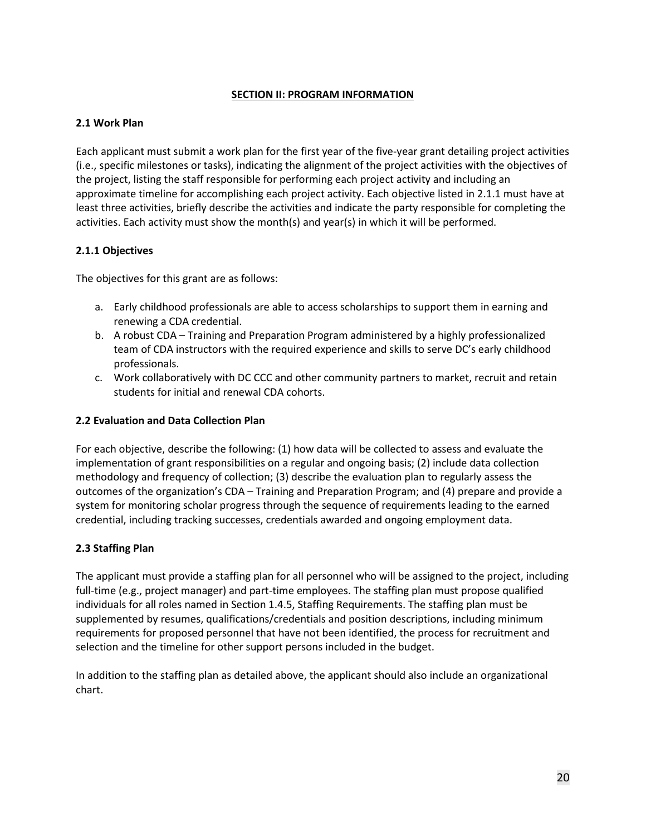### **SECTION II: PROGRAM INFORMATION**

# <span id="page-19-1"></span><span id="page-19-0"></span>**2.1 Work Plan**

Each applicant must submit a work plan for the first year of the five-year grant detailing project activities (i.e., specific milestones or tasks), indicating the alignment of the project activities with the objectives of the project, listing the staff responsible for performing each project activity and including an approximate timeline for accomplishing each project activity. Each objective listed in 2.1.1 must have at least three activities, briefly describe the activities and indicate the party responsible for completing the activities. Each activity must show the month(s) and year(s) in which it will be performed.

# <span id="page-19-2"></span>**2.1.1 Objectives**

The objectives for this grant are as follows:

- a. Early childhood professionals are able to access scholarships to support them in earning and renewing a CDA credential.
- b. A robust CDA Training and Preparation Program administered by a highly professionalized team of CDA instructors with the required experience and skills to serve DC's early childhood professionals.
- c. Work collaboratively with DC CCC and other community partners to market, recruit and retain students for initial and renewal CDA cohorts.

# <span id="page-19-3"></span>**2.2 Evaluation and Data Collection Plan**

For each objective, describe the following: (1) how data will be collected to assess and evaluate the implementation of grant responsibilities on a regular and ongoing basis; (2) include data collection methodology and frequency of collection; (3) describe the evaluation plan to regularly assess the outcomes of the organization's CDA – Training and Preparation Program; and (4) prepare and provide a system for monitoring scholar progress through the sequence of requirements leading to the earned credential, including tracking successes, credentials awarded and ongoing employment data.

# <span id="page-19-4"></span>**2.3 Staffing Plan**

The applicant must provide a staffing plan for all personnel who will be assigned to the project, including full-time (e.g., project manager) and part-time employees. The staffing plan must propose qualified individuals for all roles named in Section 1.4.5, Staffing Requirements. The staffing plan must be supplemented by resumes, qualifications/credentials and position descriptions, including minimum requirements for proposed personnel that have not been identified, the process for recruitment and selection and the timeline for other support persons included in the budget.

In addition to the staffing plan as detailed above, the applicant should also include an organizational chart.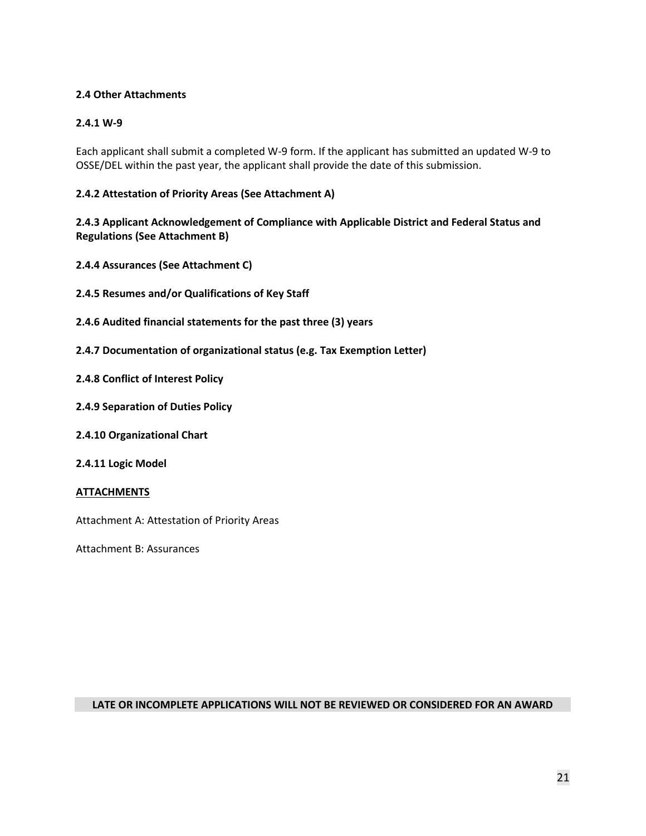# <span id="page-20-0"></span>**2.4 Other Attachments**

### <span id="page-20-1"></span>**2.4.1 W-9**

Each applicant shall submit a completed W-9 form. If the applicant has submitted an updated W-9 to OSSE/DEL within the past year, the applicant shall provide the date of this submission.

### <span id="page-20-2"></span>**2.4.2 Attestation of Priority Areas (See Attachment A)**

# <span id="page-20-3"></span>**2.4.3 Applicant Acknowledgement of Compliance with Applicable District and Federal Status and Regulations (See Attachment B)**

- <span id="page-20-4"></span>**2.4.4 Assurances (See Attachment C)**
- <span id="page-20-5"></span>**2.4.5 Resumes and/or Qualifications of Key Staff**
- <span id="page-20-6"></span>**2.4.6 Audited financial statements for the past three (3) years**
- <span id="page-20-7"></span>**2.4.7 Documentation of organizational status (e.g. Tax Exemption Letter)**
- <span id="page-20-8"></span>**2.4.8 Conflict of Interest Policy**
- <span id="page-20-9"></span>**2.4.9 Separation of Duties Policy**
- <span id="page-20-10"></span>**2.4.10 Organizational Chart**
- <span id="page-20-11"></span>**2.4.11 Logic Model**

### **ATTACHMENTS**

Attachment A: Attestation of Priority Areas

Attachment B: Assurances

### **LATE OR INCOMPLETE APPLICATIONS WILL NOT BE REVIEWED OR CONSIDERED FOR AN AWARD**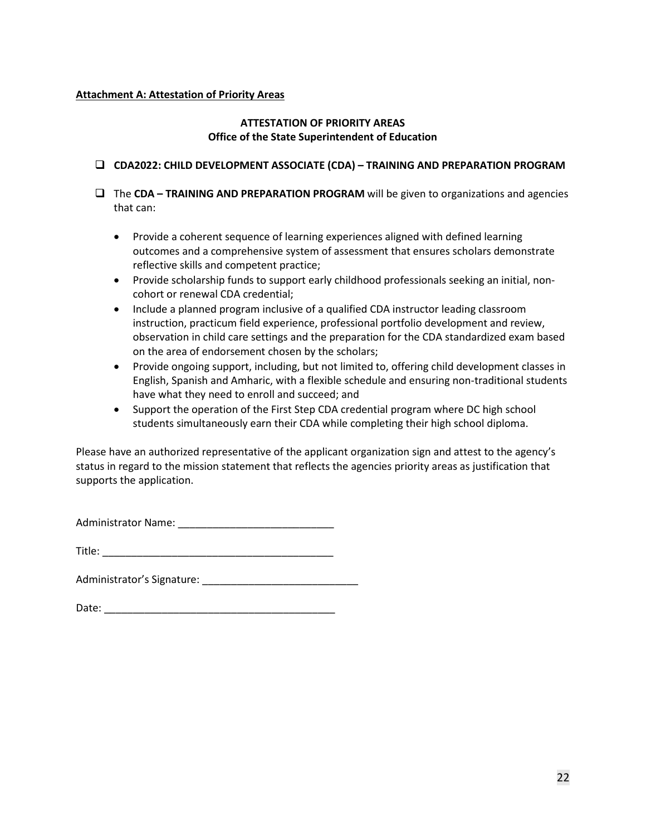### <span id="page-21-0"></span>**Attachment A: Attestation of Priority Areas**

# **ATTESTATION OF PRIORITY AREAS Office of the State Superintendent of Education**

- **CDA2022: CHILD DEVELOPMENT ASSOCIATE (CDA) – TRAINING AND PREPARATION PROGRAM**
- The **CDA – TRAINING AND PREPARATION PROGRAM** will be given to organizations and agencies that can:
	- Provide a coherent sequence of learning experiences aligned with defined learning outcomes and a comprehensive system of assessment that ensures scholars demonstrate reflective skills and competent practice;
	- Provide scholarship funds to support early childhood professionals seeking an initial, noncohort or renewal CDA credential;
	- Include a planned program inclusive of a qualified CDA instructor leading classroom instruction, practicum field experience, professional portfolio development and review, observation in child care settings and the preparation for the CDA standardized exam based on the area of endorsement chosen by the scholars;
	- Provide ongoing support, including, but not limited to, offering child development classes in English, Spanish and Amharic, with a flexible schedule and ensuring non-traditional students have what they need to enroll and succeed; and
	- Support the operation of the First Step CDA credential program where DC high school students simultaneously earn their CDA while completing their high school diploma.

Please have an authorized representative of the applicant organization sign and attest to the agency's status in regard to the mission statement that reflects the agencies priority areas as justification that supports the application.

Administrator Name: \_\_\_\_\_\_\_\_\_\_\_\_\_\_\_\_\_\_\_\_\_\_\_\_\_\_\_

 $\text{Title:}\quad$ 

Administrator's Signature: \_\_\_\_\_\_\_\_\_\_\_\_\_\_\_\_\_\_\_\_\_\_\_\_\_\_\_

Date: \_\_\_\_\_\_\_\_\_\_\_\_\_\_\_\_\_\_\_\_\_\_\_\_\_\_\_\_\_\_\_\_\_\_\_\_\_\_\_\_